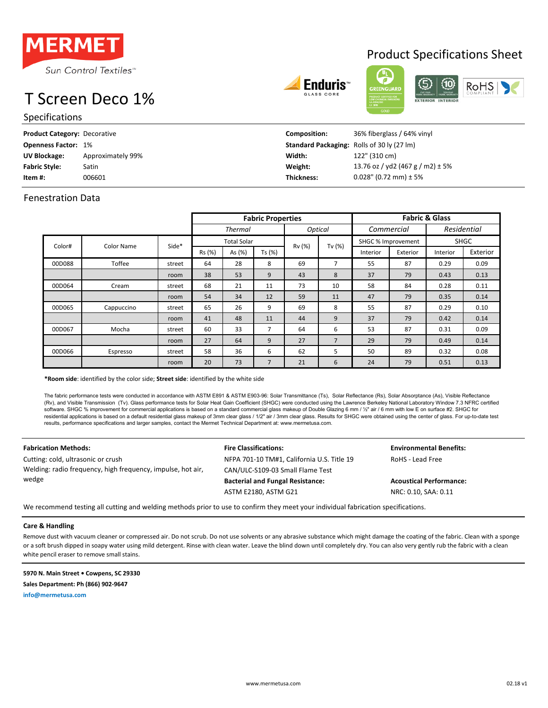

# T Screen Deco 1%

Specifications

| <b>Product Category: Decorative</b> |                   | Composition: | 36% fiberglass / 64% vinyl                        |
|-------------------------------------|-------------------|--------------|---------------------------------------------------|
| <b>Openness Factor: 1%</b>          |                   |              | <b>Standard Packaging:</b> Rolls of 30 ly (27 lm) |
| UV Blockage:                        | Approximately 99% | Width:       | 122" (310 cm)                                     |
| <b>Fabric Style:</b>                | Satin             | Weight:      | 13.76 oz / yd2 (467 g / m2) $\pm$ 5%              |
| Item #:                             | 006601            | Thickness:   | $0.028$ " (0.72 mm) ± 5%                          |

Enduris<sup>.</sup>

## Fenestration Data

|        |            |        | <b>Fabric Properties</b> |        |                |                |                                   | <b>Fabric &amp; Glass</b> |          |             |          |
|--------|------------|--------|--------------------------|--------|----------------|----------------|-----------------------------------|---------------------------|----------|-------------|----------|
|        |            |        | <b>Thermal</b>           |        |                | <b>Optical</b> |                                   | Commercial                |          | Residential |          |
| Color# | Color Name | Side*  | <b>Total Solar</b>       |        |                |                | <b>SHGC</b><br>SHGC % Improvement |                           |          |             |          |
|        |            |        | Rs (%)                   | As (%) | Ts (%)         | Rv (%)         | Tv (%)                            | Interior                  | Exterior | Interior    | Exterior |
| 00D088 | Toffee     | street | 64                       | 28     | 8              | 69             | $\overline{7}$                    | 55                        | 87       | 0.29        | 0.09     |
|        |            | room   | 38                       | 53     | 9              | 43             | 8                                 | 37                        | 79       | 0.43        | 0.13     |
| 00D064 | Cream      | street | 68                       | 21     | 11             | 73             | 10                                | 58                        | 84       | 0.28        | 0.11     |
|        |            | room   | 54                       | 34     | 12             | 59             | 11                                | 47                        | 79       | 0.35        | 0.14     |
| 00D065 | Cappuccino | street | 65                       | 26     | 9              | 69             | 8                                 | 55                        | 87       | 0.29        | 0.10     |
|        |            | room   | 41                       | 48     | 11             | 44             | 9                                 | 37                        | 79       | 0.42        | 0.14     |
| 00D067 | Mocha      | street | 60                       | 33     | 7              | 64             | 6                                 | 53                        | 87       | 0.31        | 0.09     |
|        |            | room   | 27                       | 64     | 9              | 27             | $\overline{7}$                    | 29                        | 79       | 0.49        | 0.14     |
| 00D066 | Espresso   | street | 58                       | 36     | 6              | 62             | 5                                 | 50                        | 89       | 0.32        | 0.08     |
|        |            | room   | 20                       | 73     | $\overline{7}$ | 21             | 6                                 | 24                        | 79       | 0.51        | 0.13     |

**\*Room side**: identified by the color side; **Street side**: identified by the white side

The fabric performance tests were conducted in accordance with ASTM E801 & ASTM E903-96: Solar Transmittance (Ts), Solar Reflectance (Rs), Solar Absorptance (As), Visible Reflectance (Rv), and Visible Transmission (Tv). Glass performance tests for Solar Heat Gain Coefficient (SHGC) were conducted using the Lawrence Berkeley National Laboratory Window 7.3 NFRC certified software. SHGC % improvement for commercial applications is based on a standard commercial glass makeup of Double Glazing 6 mm / ½" air / 6 mm with low E on surface #2. SHGC for residential applications is based on a default residential glass makeup of 3mm clear glass / 1/2" air / 3mm clear glass. Results for SHGC were obtained using the center of glass. For up-to-date test results, performance specifications and larger samples, contact the Mermet Technical Department at: www.mermetusa.com.

Cutting: cold, ultrasonic or crush  $NFPA 701-10 TM#1$ , California U.S. Title 19 RoHS - Lead Free Welding: radio frequency, high frequency, impulse, hot air, wedge

CAN/ULC-S109-03 Small Flame Test **Bacterial and Fungal Resistance: Acoustical Performance:** ASTM E2180, ASTM G21 NRC: 0.10, SAA: 0.11

**Fabrication Methods: Fire Classifications: Environmental Benefits:**

We recommend testing all cutting and welding methods prior to use to confirm they meet your individual fabrication specifications.

### **Care & Handling**

Remove dust with vacuum cleaner or compressed air. Do not scrub. Do not use solvents or any abrasive substance which might damage the coating of the fabric. Clean with a sponge or a soft brush dipped in soapy water using mild detergent. Rinse with clean water. Leave the blind down until completely dry. You can also very gently rub the fabric with a clean white pencil eraser to remove small stains.

**5970 N. Main Street • Cowpens, SC 29330**

**Sales Department: Ph (866) 902-9647**

**info@mermetusa.com**

## Product Specifications Sheet

RoHS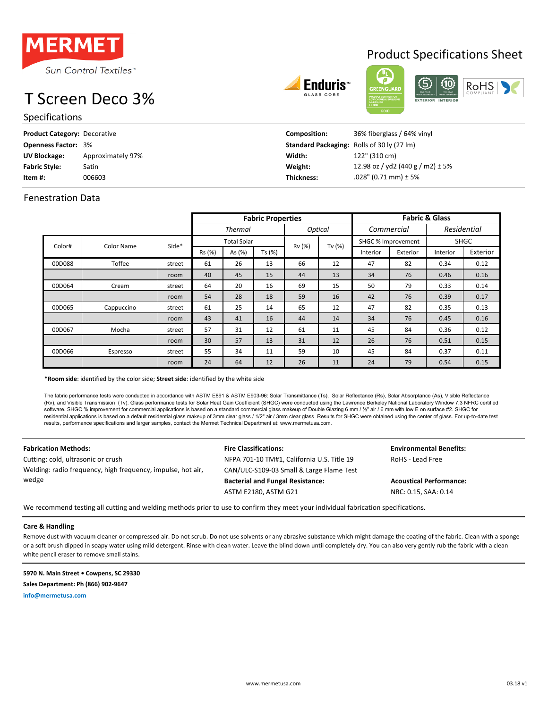

# T Screen Deco 3%

Specifications





| <b>Product Category: Decorative</b> |                   | <b>Composition:</b> | 36% fiberglass / 64% vinyl                        |
|-------------------------------------|-------------------|---------------------|---------------------------------------------------|
| <b>Openness Factor: 3%</b>          |                   |                     | <b>Standard Packaging:</b> Rolls of 30 ly (27 lm) |
| UV Blockage:                        | Approximately 97% | Width:              | 122" (310 cm)                                     |
| <b>Fabric Style:</b>                | Satin             | Weight:             | 12.98 oz / yd2 (440 g / m2) $\pm$ 5%              |
| Item #:                             | 006603            | <b>Thickness:</b>   | .028" (0.71 mm) ± 5%                              |

## Fenestration Data

|        |            |        | <b>Fabric Properties</b> |        |        |                |                    | <b>Fabric &amp; Glass</b> |             |             |          |  |
|--------|------------|--------|--------------------------|--------|--------|----------------|--------------------|---------------------------|-------------|-------------|----------|--|
|        |            |        | <b>Thermal</b>           |        |        | <b>Optical</b> |                    | Commercial                |             | Residential |          |  |
| Color# | Color Name | Side*  | <b>Total Solar</b>       |        | Rv (%) | Tv $(%)$       | SHGC % Improvement |                           | <b>SHGC</b> |             |          |  |
|        |            |        | Rs (%)                   | As (%) | Ts (%) |                |                    | Interior                  | Exterior    | Interior    | Exterior |  |
| 00D088 | Toffee     | street | 61                       | 26     | 13     | 66             | 12                 | 47                        | 82          | 0.34        | 0.12     |  |
|        |            | room   | 40                       | 45     | 15     | 44             | 13                 | 34                        | 76          | 0.46        | 0.16     |  |
| 00D064 | Cream      | street | 64                       | 20     | 16     | 69             | 15                 | 50                        | 79          | 0.33        | 0.14     |  |
|        |            | room   | 54                       | 28     | 18     | 59             | 16                 | 42                        | 76          | 0.39        | 0.17     |  |
| 00D065 | Cappuccino | street | 61                       | 25     | 14     | 65             | 12                 | 47                        | 82          | 0.35        | 0.13     |  |
|        |            | room   | 43                       | 41     | 16     | 44             | 14                 | 34                        | 76          | 0.45        | 0.16     |  |
| 00D067 | Mocha      | street | 57                       | 31     | 12     | 61             | 11                 | 45                        | 84          | 0.36        | 0.12     |  |
|        |            | room   | 30                       | 57     | 13     | 31             | 12                 | 26                        | 76          | 0.51        | 0.15     |  |
| 00D066 | Espresso   | street | 55                       | 34     | 11     | 59             | 10                 | 45                        | 84          | 0.37        | 0.11     |  |
|        |            | room   | 24                       | 64     | 12     | 26             | 11                 | 24                        | 79          | 0.54        | 0.15     |  |

**\*Room side**: identified by the color side; **Street side**: identified by the white side

The fabric performance tests were conducted in accordance with ASTM E891 & ASTM E903-96: Solar Transmittance (Ts), Solar Reflectance (Rs), Solar Absorptance (As), Visible Reflectance (Rv), and Visible Transmission (Tv). Glass performance tests for Solar Heat Gain Coefficient (SHGC) were conducted using the Lawrence Berkeley National Laboratory Window 7.3 NFRC certified software. SHGC % improvement for commercial applications is based on a standard commercial glass makeup of Double Glazing 6 mm / ½" air / 6 mm with low E on surface #2. SHGC for residential applications is based on a default residential glass makeup of 3mm clear glass / 1/2" air / 3mm clear glass. Results for SHGC were obtained using the center of glass. For up-to-date test<br>results, performance sp

Cutting: cold, ultrasonic or crush  $NFPA 701-10 TM#1$ , California U.S. Title 19 RoHS - Lead Free Welding: radio frequency, high frequency, impulse, hot air, wedge

CAN/ULC-S109-03 Small & Large Flame Test **Bacterial and Fungal Resistance: Acoustical Performance:** ASTM E2180, ASTM G21 NRC: 0.15, SAA: 0.14

**Fabrication Methods: Fire Classifications: Environmental Benefits:**

We recommend testing all cutting and welding methods prior to use to confirm they meet your individual fabrication specifications.

### **Care & Handling**

Remove dust with vacuum cleaner or compressed air. Do not scrub. Do not use solvents or any abrasive substance which might damage the coating of the fabric. Clean with a sponge or a soft brush dipped in soapy water using mild detergent. Rinse with clean water. Leave the blind down until completely dry. You can also very gently rub the fabric with a clean white pencil eraser to remove small stains.

**5970 N. Main Street • Cowpens, SC 29330 Sales Department: Ph (866) 902-9647**

**info@mermetusa.com**